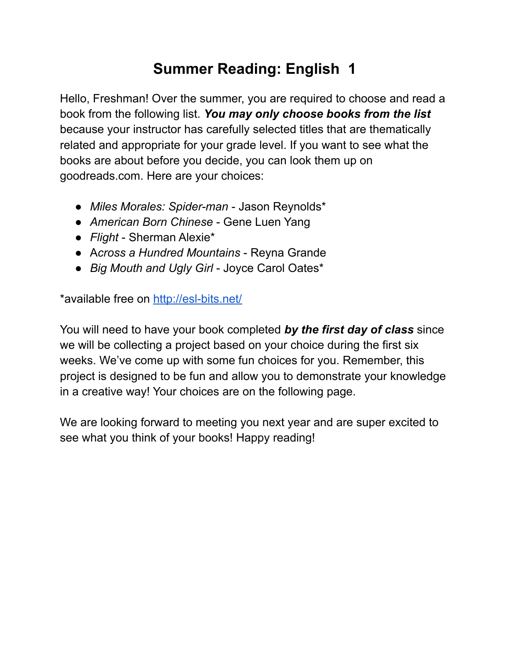## **Summer Reading: English 1**

Hello, Freshman! Over the summer, you are required to choose and read a book from the following list. *You may only choose books from the list* because your instructor has carefully selected titles that are thematically related and appropriate for your grade level. If you want to see what the books are about before you decide, you can look them up on goodreads.com. Here are your choices:

- *● Miles Morales: Spider-man* Jason Reynolds\*
- *● American Born Chinese* Gene Luen Yang
- *Flight* Sherman Alexie\*
- A*cross a Hundred Mountains* Reyna Grande
- *Big Mouth and Ugly Girl* Joyce Carol Oates\*

\*available free on <http://esl-bits.net/>

You will need to have your book completed *by the first day of class* since we will be collecting a project based on your choice during the first six weeks. We've come up with some fun choices for you. Remember, this project is designed to be fun and allow you to demonstrate your knowledge in a creative way! Your choices are on the following page.

We are looking forward to meeting you next year and are super excited to see what you think of your books! Happy reading!